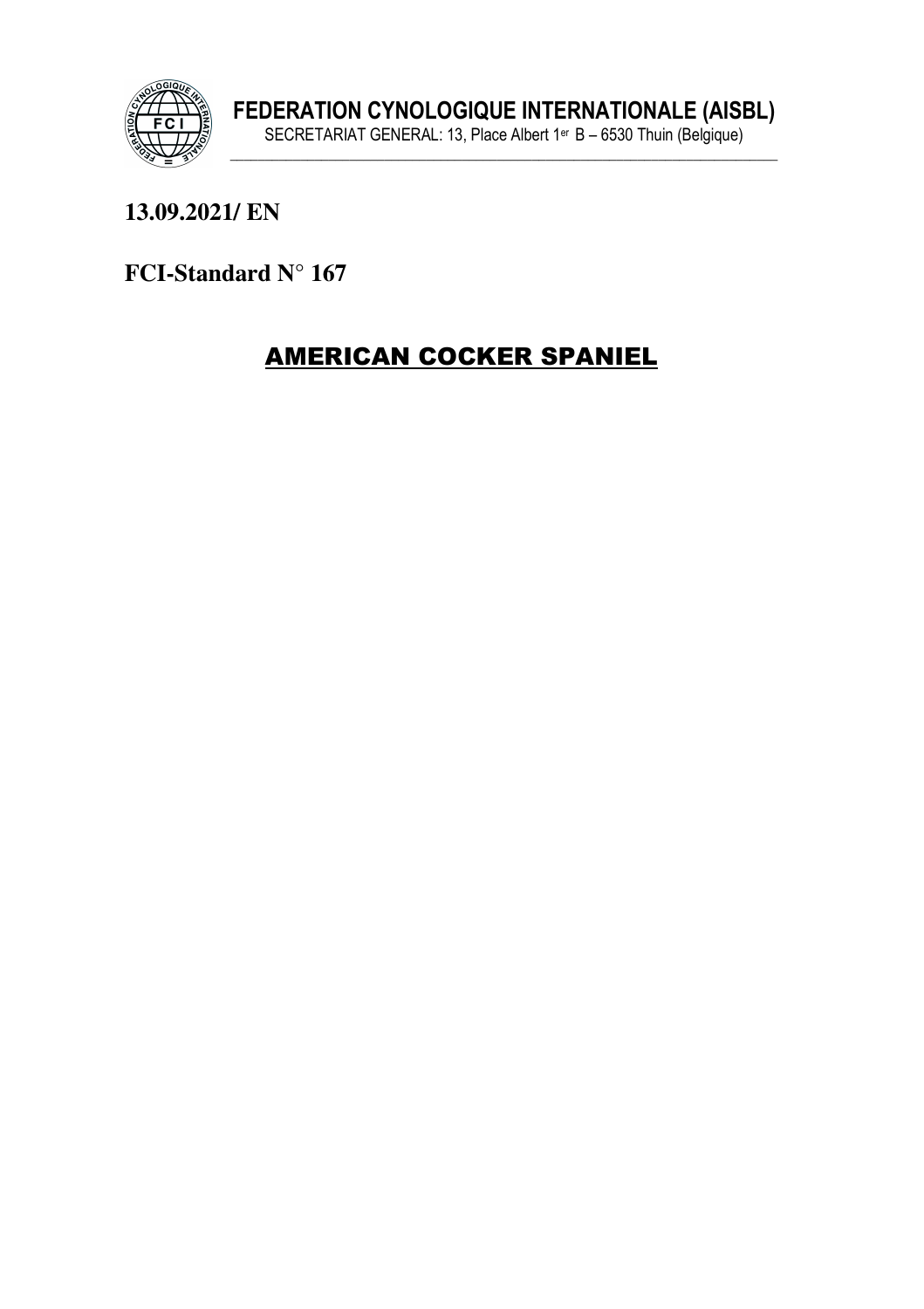

13.09.2021/EN

FCI-Standard N° 167

# **AMERICAN COCKER SPANIEL**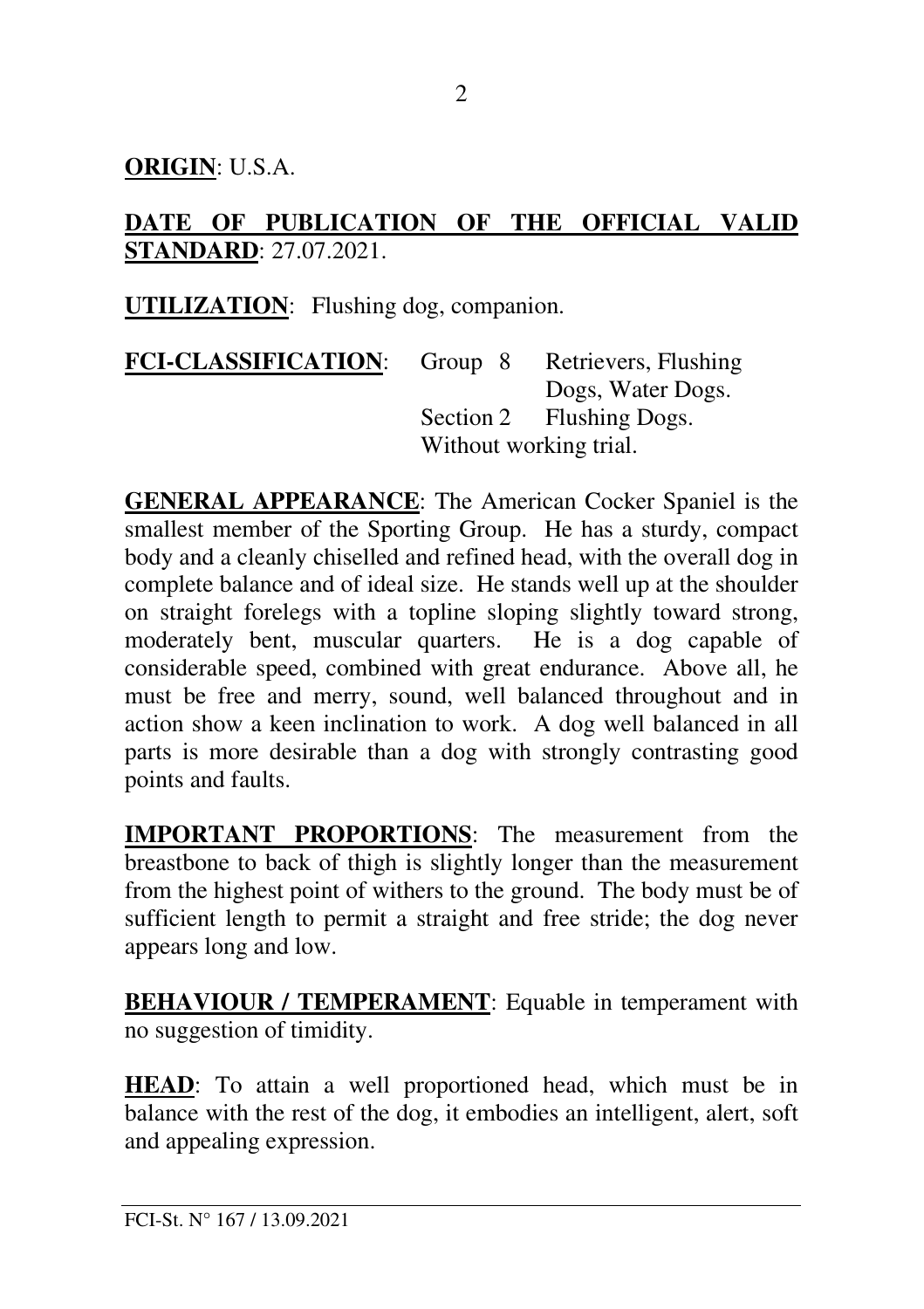**ORIGIN**: U.S.A.

### **DATE OF PUBLICATION OF THE OFFICIAL VALID STANDARD**: 27.07.2021.

**UTILIZATION**: Flushing dog, companion.

| <b>FCI-CLASSIFICATION:</b> | Group 8                | Retrievers, Flushing     |
|----------------------------|------------------------|--------------------------|
|                            |                        | Dogs, Water Dogs.        |
|                            |                        | Section 2 Flushing Dogs. |
|                            | Without working trial. |                          |

**GENERAL APPEARANCE**: The American Cocker Spaniel is the smallest member of the Sporting Group. He has a sturdy, compact body and a cleanly chiselled and refined head, with the overall dog in complete balance and of ideal size. He stands well up at the shoulder on straight forelegs with a topline sloping slightly toward strong, moderately bent, muscular quarters. He is a dog capable of considerable speed, combined with great endurance. Above all, he must be free and merry, sound, well balanced throughout and in action show a keen inclination to work. A dog well balanced in all parts is more desirable than a dog with strongly contrasting good points and faults.

**IMPORTANT PROPORTIONS**: The measurement from the breastbone to back of thigh is slightly longer than the measurement from the highest point of withers to the ground. The body must be of sufficient length to permit a straight and free stride; the dog never appears long and low.

**BEHAVIOUR / TEMPERAMENT:** Equable in temperament with no suggestion of timidity.

**HEAD**: To attain a well proportioned head, which must be in balance with the rest of the dog, it embodies an intelligent, alert, soft and appealing expression.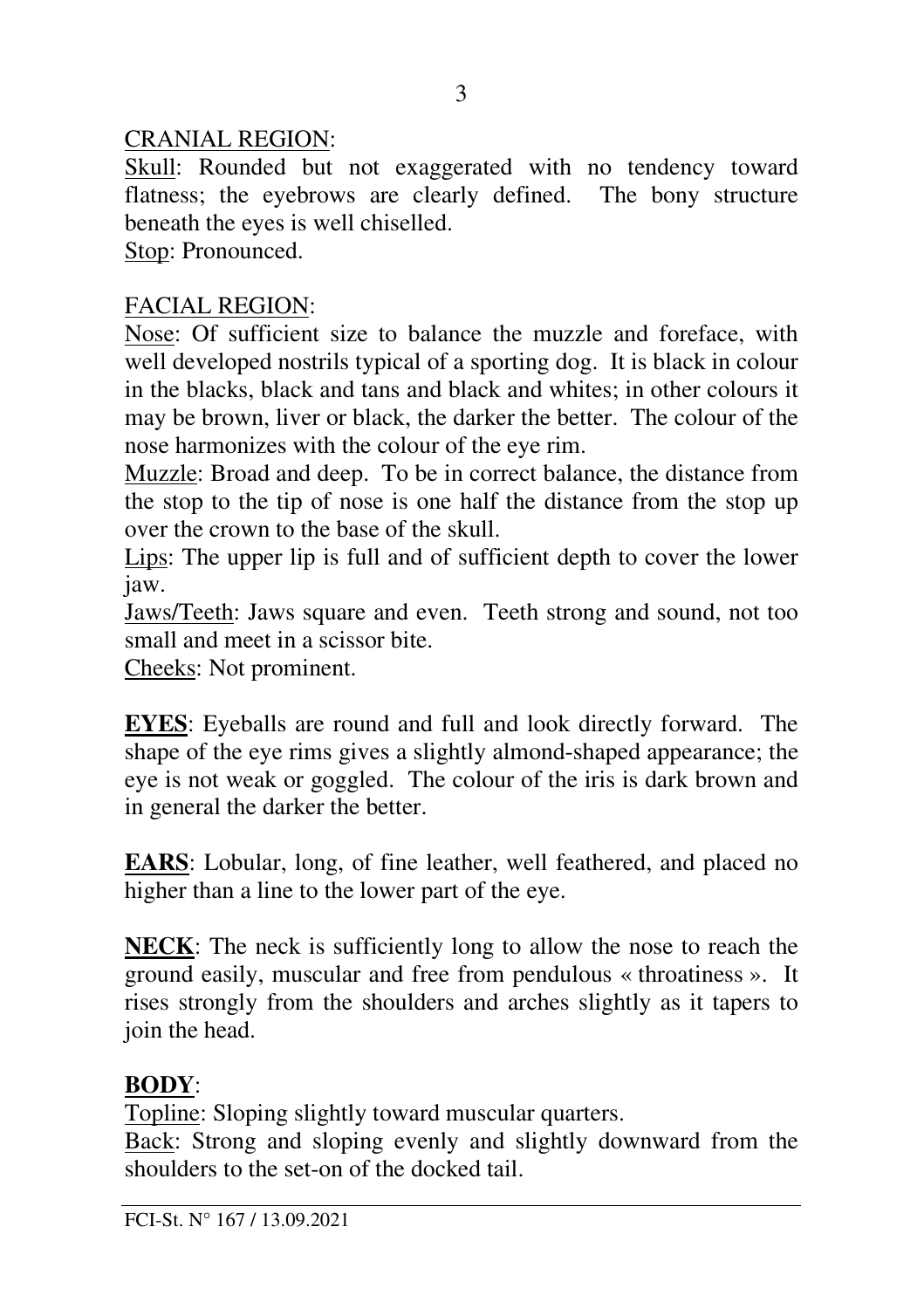### CRANIAL REGION:

Skull: Rounded but not exaggerated with no tendency toward flatness; the eyebrows are clearly defined. The bony structure beneath the eyes is well chiselled.

Stop: Pronounced.

# FACIAL REGION:

Nose: Of sufficient size to balance the muzzle and foreface, with well developed nostrils typical of a sporting dog. It is black in colour in the blacks, black and tans and black and whites; in other colours it may be brown, liver or black, the darker the better. The colour of the nose harmonizes with the colour of the eye rim.

Muzzle: Broad and deep. To be in correct balance, the distance from the stop to the tip of nose is one half the distance from the stop up over the crown to the base of the skull.

Lips: The upper lip is full and of sufficient depth to cover the lower jaw.

Jaws/Teeth: Jaws square and even. Teeth strong and sound, not too small and meet in a scissor bite.

Cheeks: Not prominent.

**EYES**: Eyeballs are round and full and look directly forward. The shape of the eye rims gives a slightly almond-shaped appearance; the eye is not weak or goggled. The colour of the iris is dark brown and in general the darker the better.

**EARS**: Lobular, long, of fine leather, well feathered, and placed no higher than a line to the lower part of the eye.

**NECK**: The neck is sufficiently long to allow the nose to reach the ground easily, muscular and free from pendulous « throatiness ». It rises strongly from the shoulders and arches slightly as it tapers to join the head.

# **BODY**:

Topline: Sloping slightly toward muscular quarters.

Back: Strong and sloping evenly and slightly downward from the shoulders to the set-on of the docked tail.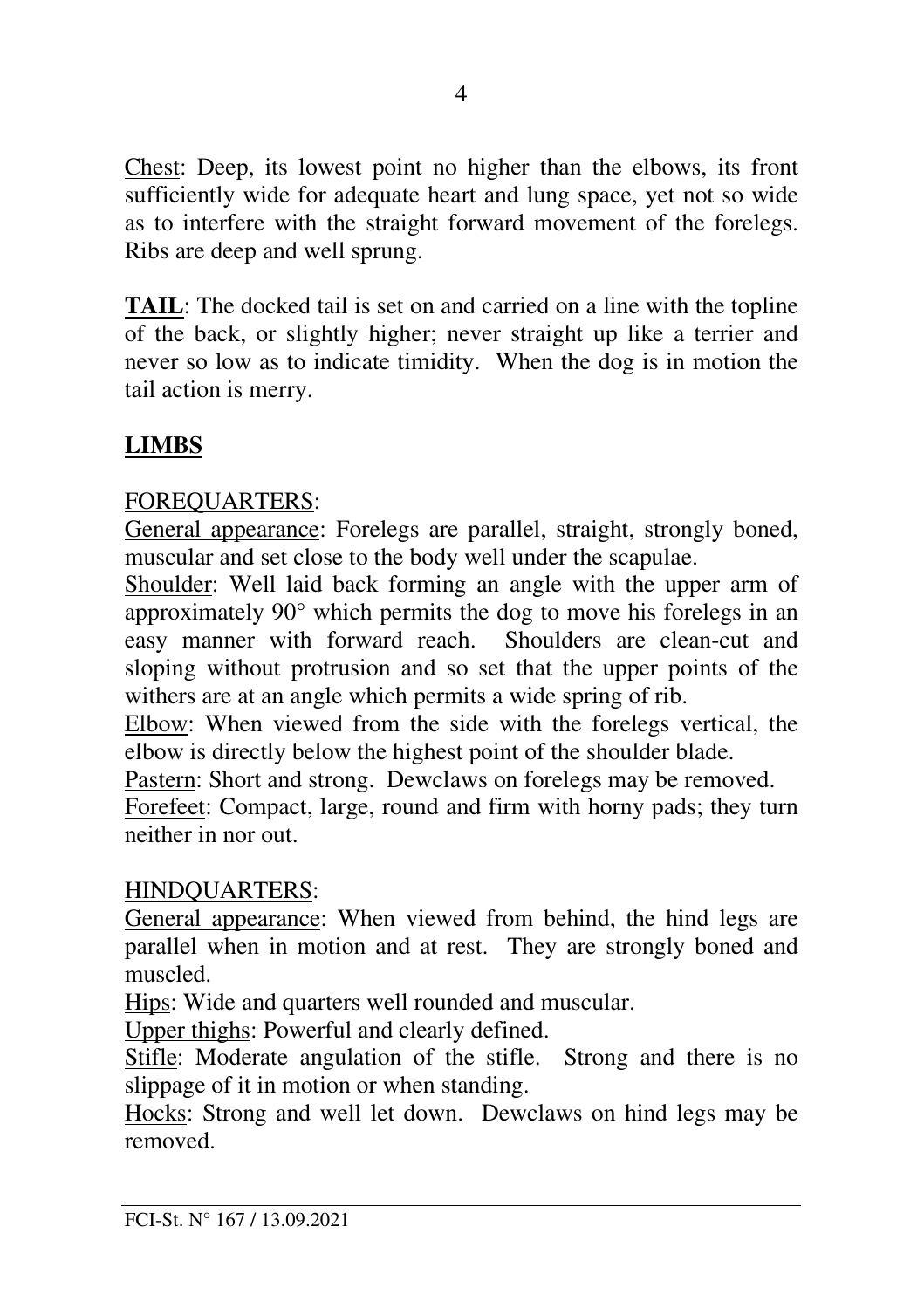Chest: Deep, its lowest point no higher than the elbows, its front sufficiently wide for adequate heart and lung space, yet not so wide as to interfere with the straight forward movement of the forelegs. Ribs are deep and well sprung.

**TAIL**: The docked tail is set on and carried on a line with the topline of the back, or slightly higher; never straight up like a terrier and never so low as to indicate timidity. When the dog is in motion the tail action is merry.

# **LIMBS**

### FOREQUARTERS:

General appearance: Forelegs are parallel, straight, strongly boned, muscular and set close to the body well under the scapulae.

Shoulder: Well laid back forming an angle with the upper arm of approximately 90° which permits the dog to move his forelegs in an easy manner with forward reach. Shoulders are clean-cut and sloping without protrusion and so set that the upper points of the withers are at an angle which permits a wide spring of rib.

Elbow: When viewed from the side with the forelegs vertical, the elbow is directly below the highest point of the shoulder blade.

Pastern: Short and strong. Dewclaws on forelegs may be removed.

Forefeet: Compact, large, round and firm with horny pads; they turn neither in nor out.

#### HINDQUARTERS:

General appearance: When viewed from behind, the hind legs are parallel when in motion and at rest. They are strongly boned and muscled.

Hips: Wide and quarters well rounded and muscular.

Upper thighs: Powerful and clearly defined.

Stifle: Moderate angulation of the stifle. Strong and there is no slippage of it in motion or when standing.

Hocks: Strong and well let down. Dewclaws on hind legs may be removed.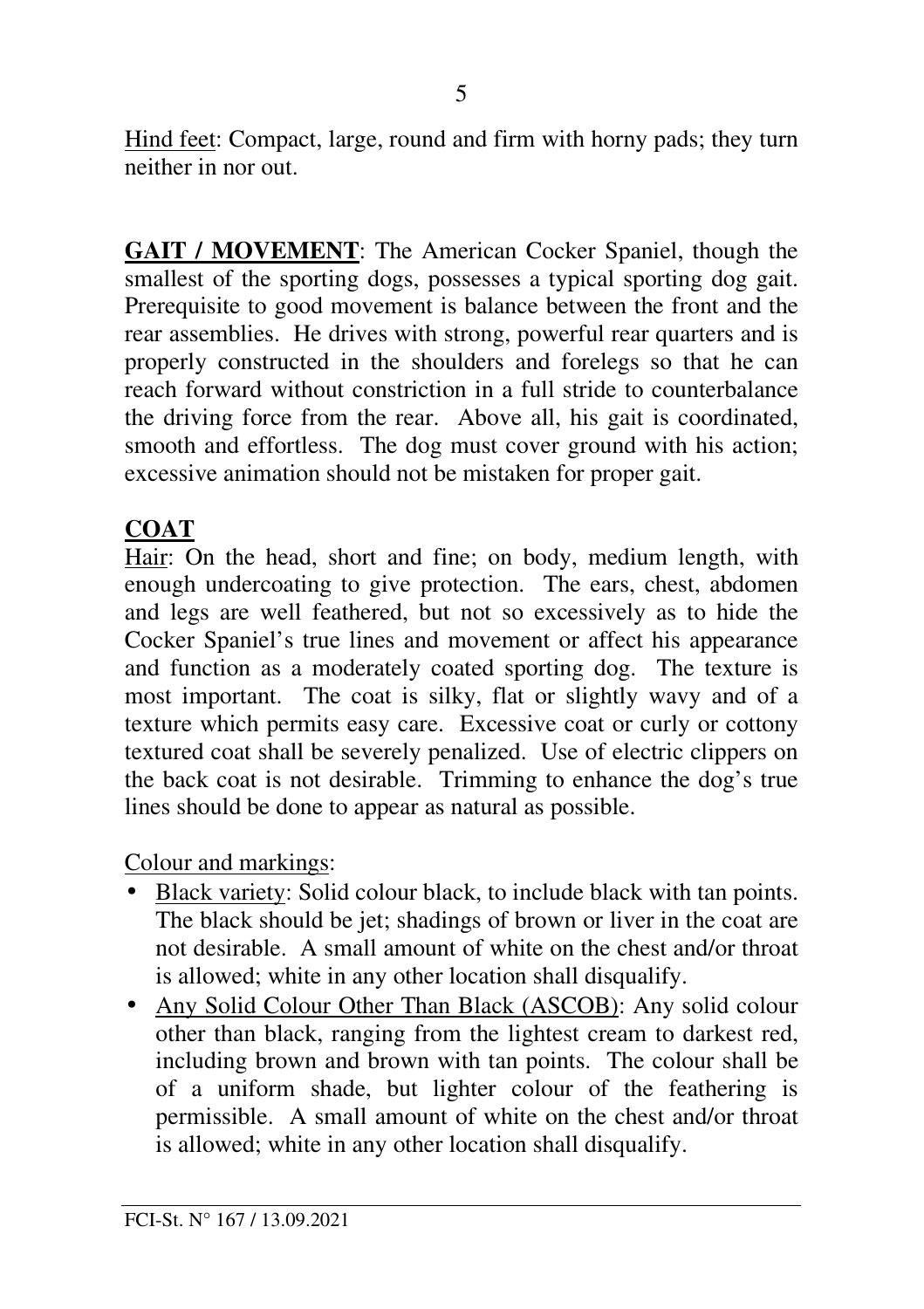Hind feet: Compact, large, round and firm with horny pads; they turn neither in nor out.

**GAIT / MOVEMENT**: The American Cocker Spaniel, though the smallest of the sporting dogs, possesses a typical sporting dog gait. Prerequisite to good movement is balance between the front and the rear assemblies. He drives with strong, powerful rear quarters and is properly constructed in the shoulders and forelegs so that he can reach forward without constriction in a full stride to counterbalance the driving force from the rear. Above all, his gait is coordinated, smooth and effortless. The dog must cover ground with his action; excessive animation should not be mistaken for proper gait.

# **COAT**

Hair: On the head, short and fine; on body, medium length, with enough undercoating to give protection. The ears, chest, abdomen and legs are well feathered, but not so excessively as to hide the Cocker Spaniel's true lines and movement or affect his appearance and function as a moderately coated sporting dog. The texture is most important. The coat is silky, flat or slightly wavy and of a texture which permits easy care. Excessive coat or curly or cottony textured coat shall be severely penalized. Use of electric clippers on the back coat is not desirable. Trimming to enhance the dog's true lines should be done to appear as natural as possible.

Colour and markings:

- Black variety: Solid colour black, to include black with tan points. The black should be jet; shadings of brown or liver in the coat are not desirable. A small amount of white on the chest and/or throat is allowed; white in any other location shall disqualify.
- Any Solid Colour Other Than Black (ASCOB): Any solid colour other than black, ranging from the lightest cream to darkest red, including brown and brown with tan points. The colour shall be of a uniform shade, but lighter colour of the feathering is permissible. A small amount of white on the chest and/or throat is allowed; white in any other location shall disqualify.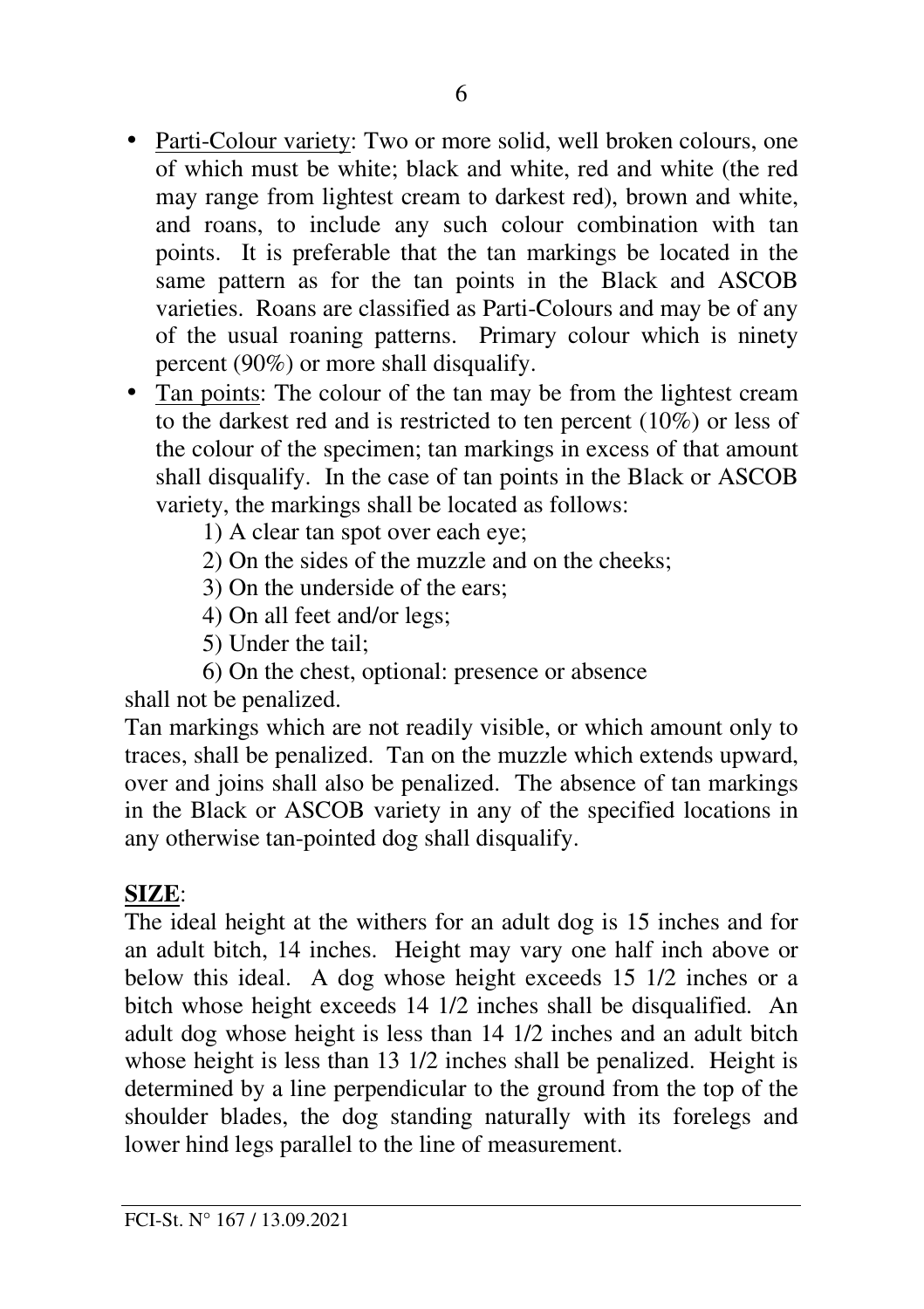- Parti-Colour variety: Two or more solid, well broken colours, one of which must be white; black and white, red and white (the red may range from lightest cream to darkest red), brown and white, and roans, to include any such colour combination with tan points. It is preferable that the tan markings be located in the same pattern as for the tan points in the Black and ASCOB varieties. Roans are classified as Parti-Colours and may be of any of the usual roaning patterns. Primary colour which is ninety percent (90%) or more shall disqualify.
- Tan points: The colour of the tan may be from the lightest cream to the darkest red and is restricted to ten percent (10%) or less of the colour of the specimen; tan markings in excess of that amount shall disqualify. In the case of tan points in the Black or ASCOB variety, the markings shall be located as follows:
	- 1) A clear tan spot over each eye;
	- 2) On the sides of the muzzle and on the cheeks;
	- 3) On the underside of the ears;
	- 4) On all feet and/or legs;
	- 5) Under the tail;
	- 6) On the chest, optional: presence or absence

shall not be penalized.

Tan markings which are not readily visible, or which amount only to traces, shall be penalized. Tan on the muzzle which extends upward, over and joins shall also be penalized. The absence of tan markings in the Black or ASCOB variety in any of the specified locations in any otherwise tan-pointed dog shall disqualify.

# **SIZE**:

The ideal height at the withers for an adult dog is 15 inches and for an adult bitch, 14 inches. Height may vary one half inch above or below this ideal. A dog whose height exceeds 15 1/2 inches or a bitch whose height exceeds 14 1/2 inches shall be disqualified. An adult dog whose height is less than 14 1/2 inches and an adult bitch whose height is less than 13 1/2 inches shall be penalized. Height is determined by a line perpendicular to the ground from the top of the shoulder blades, the dog standing naturally with its forelegs and lower hind legs parallel to the line of measurement.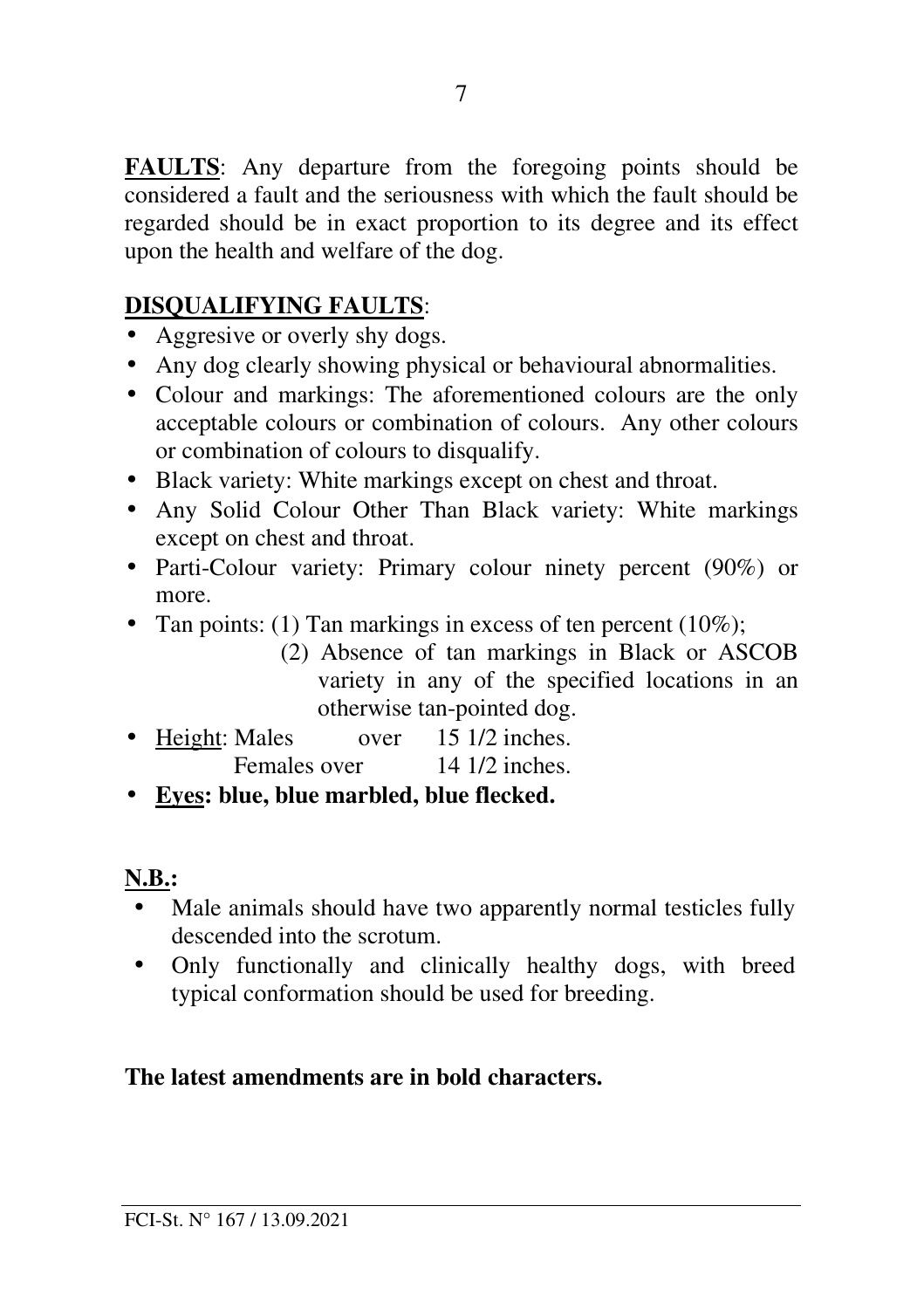**FAULTS**: Any departure from the foregoing points should be considered a fault and the seriousness with which the fault should be regarded should be in exact proportion to its degree and its effect upon the health and welfare of the dog.

# **DISQUALIFYING FAULTS**:

- Aggresive or overly shy dogs.
- Any dog clearly showing physical or behavioural abnormalities.
- Colour and markings: The aforementioned colours are the only acceptable colours or combination of colours. Any other colours or combination of colours to disqualify.
- Black variety: White markings except on chest and throat.
- Any Solid Colour Other Than Black variety: White markings except on chest and throat.
- Parti-Colour variety: Primary colour ninety percent (90%) or more.
- Tan points: (1) Tan markings in excess of ten percent (10%);
	- (2) Absence of tan markings in Black or ASCOB variety in any of the specified locations in an otherwise tan-pointed dog.
- Height: Males over 15 1/2 inches. Females over 14 1/2 inches.
- **Eyes: blue, blue marbled, blue flecked.**

# **N.B.:**

- Male animals should have two apparently normal testicles fully descended into the scrotum.
- Only functionally and clinically healthy dogs, with breed typical conformation should be used for breeding.

# **The latest amendments are in bold characters.**